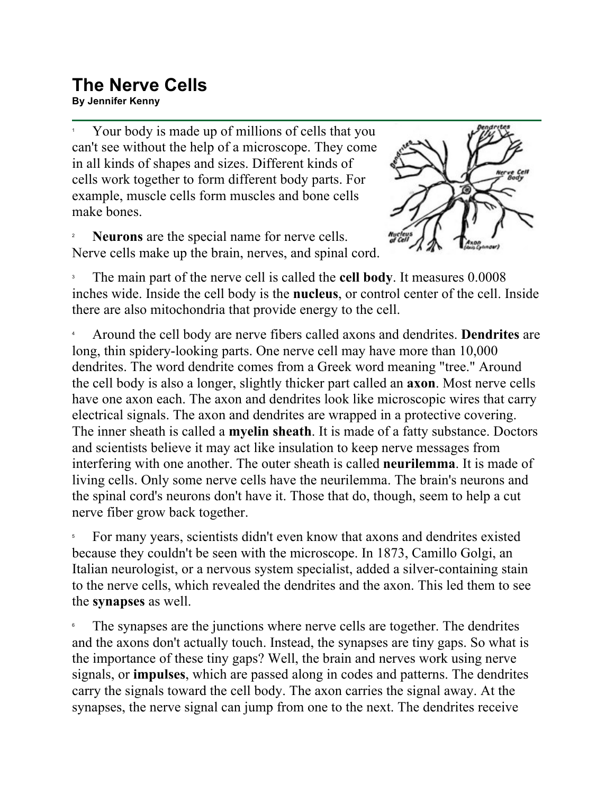## **The Nerve Cells**

**By Jennifer Kenny**

1 Your body is made up of millions of cells that you can't see without the help of a microscope. They come in all kinds of shapes and sizes. Different kinds of cells work together to form different body parts. For example, muscle cells form muscles and bone cells make bones.

2 **Neurons** are the special name for nerve cells. Nerve cells make up the brain, nerves, and spinal cord.



3 The main part of the nerve cell is called the **cell body**. It measures 0.0008 inches wide. Inside the cell body is the **nucleus**, or control center of the cell. Inside there are also mitochondria that provide energy to the cell.

4 Around the cell body are nerve fibers called axons and dendrites. **Dendrites** are long, thin spidery-looking parts. One nerve cell may have more than 10,000 dendrites. The word dendrite comes from a Greek word meaning "tree." Around the cell body is also a longer, slightly thicker part called an **axon**. Most nerve cells have one axon each. The axon and dendrites look like microscopic wires that carry electrical signals. The axon and dendrites are wrapped in a protective covering. The inner sheath is called a **myelin sheath**. It is made of a fatty substance. Doctors and scientists believe it may act like insulation to keep nerve messages from interfering with one another. The outer sheath is called **neurilemma**. It is made of living cells. Only some nerve cells have the neurilemma. The brain's neurons and the spinal cord's neurons don't have it. Those that do, though, seem to help a cut nerve fiber grow back together.

5 For many years, scientists didn't even know that axons and dendrites existed because they couldn't be seen with the microscope. In 1873, Camillo Golgi, an Italian neurologist, or a nervous system specialist, added a silver-containing stain to the nerve cells, which revealed the dendrites and the axon. This led them to see the **synapses** as well.

6 The synapses are the junctions where nerve cells are together. The dendrites and the axons don't actually touch. Instead, the synapses are tiny gaps. So what is the importance of these tiny gaps? Well, the brain and nerves work using nerve signals, or **impulses**, which are passed along in codes and patterns. The dendrites carry the signals toward the cell body. The axon carries the signal away. At the synapses, the nerve signal can jump from one to the next. The dendrites receive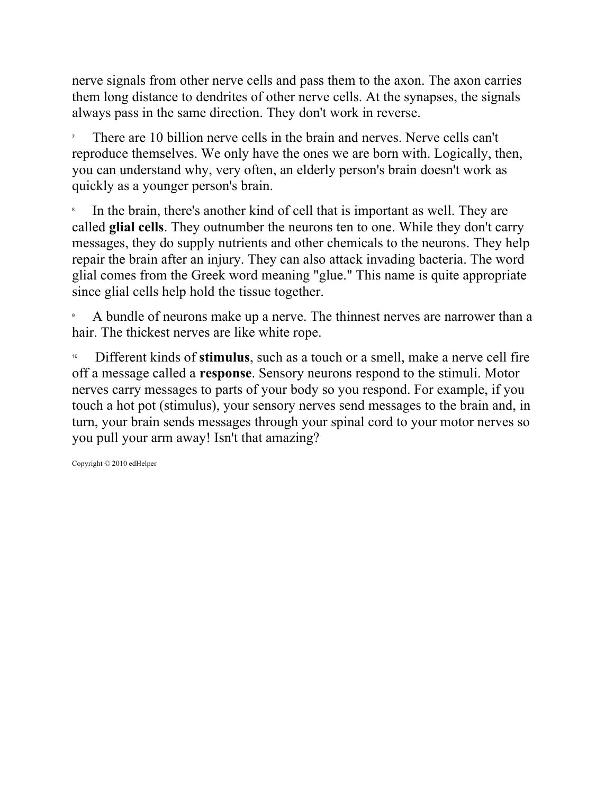nerve signals from other nerve cells and pass them to the axon. The axon carries them long distance to dendrites of other nerve cells. At the synapses, the signals always pass in the same direction. They don't work in reverse.

7 There are 10 billion nerve cells in the brain and nerves. Nerve cells can't reproduce themselves. We only have the ones we are born with. Logically, then, you can understand why, very often, an elderly person's brain doesn't work as quickly as a younger person's brain.

8 In the brain, there's another kind of cell that is important as well. They are called **glial cells**. They outnumber the neurons ten to one. While they don't carry messages, they do supply nutrients and other chemicals to the neurons. They help repair the brain after an injury. They can also attack invading bacteria. The word glial comes from the Greek word meaning "glue." This name is quite appropriate since glial cells help hold the tissue together.

9 A bundle of neurons make up a nerve. The thinnest nerves are narrower than a hair. The thickest nerves are like white rope.

<sup>10</sup> Different kinds of **stimulus**, such as a touch or a smell, make a nerve cell fire off a message called a **response**. Sensory neurons respond to the stimuli. Motor nerves carry messages to parts of your body so you respond. For example, if you touch a hot pot (stimulus), your sensory nerves send messages to the brain and, in turn, your brain sends messages through your spinal cord to your motor nerves so you pull your arm away! Isn't that amazing?

Copyright © 2010 edHelper